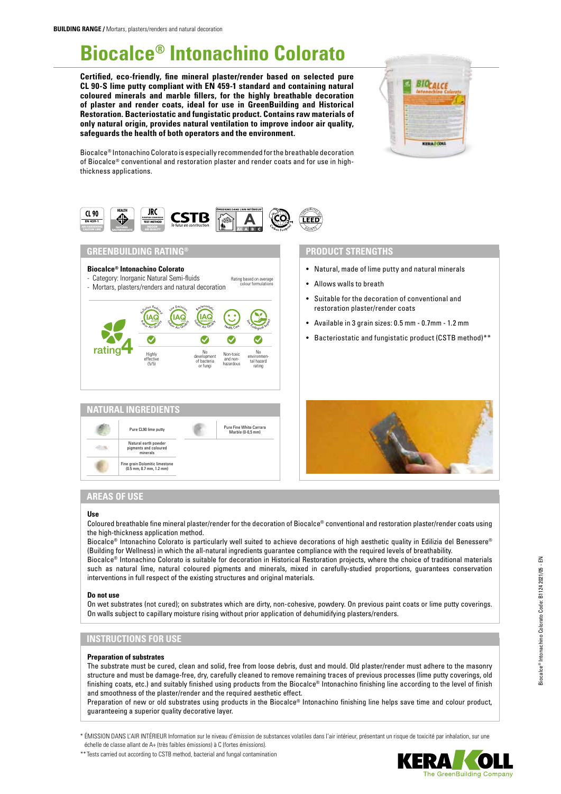# **Biocalce® Intonachino Colorato**

**Certified, eco-friendly, fine mineral plaster/render based on selected pure CL 90-S lime putty compliant with EN 459-1 standard and containing natural coloured minerals and marble fillers, for the highly breathable decoration of plaster and render coats, ideal for use in GreenBuilding and Historical Restoration. Bacteriostatic and fungistatic product. Contains raw materials of only natural origin, provides natural ventilation to improve indoor air quality, safeguards the health of both operators and the environment.** 



Biocalce® Intonachino Colorato is especially recommended for the breathable decoration of Biocalce® conventional and restoration plaster and render coats and for use in highthickness applications.



# **GREENBUILDING RATING®**



- Category: Inorganic Natural Semi-fluids Rating based on average<br>colour formulations
- Mortars, plasters/renders and natural decoration





# **PRODUCT STRENGTHS**

- Natural, made of lime putty and natural minerals
- Allows walls to breath
- Suitable for the decoration of conventional and restoration plaster/render coats
- Available in 3 grain sizes: 0.5 mm 0.7mm 1.2 mm
- Bacteriostatic and fungistatic product (CSTB method)\*\*



# **AREAS OF USE**

#### **Use**

Coloured breathable fine mineral plaster/render for the decoration of Biocalce® conventional and restoration plaster/render coats using the high-thickness application method.

Biocalce® Intonachino Colorato is particularly well suited to achieve decorations of high aesthetic quality in Edilizia del Benessere® (Building for Wellness) in which the all-natural ingredients guarantee compliance with the required levels of breathability.

Biocalce® Intonachino Colorato is suitable for decoration in Historical Restoration projects, where the choice of traditional materials such as natural lime, natural coloured pigments and minerals, mixed in carefully-studied proportions, guarantees conservation interventions in full respect of the existing structures and original materials.

#### **Do not use**

On wet substrates (not cured); on substrates which are dirty, non-cohesive, powdery. On previous paint coats or lime putty coverings. On walls subject to capillary moisture rising without prior application of dehumidifying plasters/renders.

# **INSTRUCTIONS FOR USE**

#### **Preparation of substrates**

The substrate must be cured, clean and solid, free from loose debris, dust and mould. Old plaster/render must adhere to the masonry structure and must be damage-free, dry, carefully cleaned to remove remaining traces of previous processes (lime putty coverings, old finishing coats, etc.) and suitably finished using products from the Biocalce® Intonachino finishing line according to the level of finish and smoothness of the plaster/render and the required aesthetic effect.

Preparation of new or old substrates using products in the Biocalce® Intonachino finishing line helps save time and colour product, guaranteeing a superior quality decorative layer.

\* ÉMISSION DANS L'AIR INTÉRIEUR Information sur le niveau d'émission de substances volatiles dans l'air intérieur, présentant un risque de toxicité par inhalation, sur une échelle de classe allant de A+ (très faibles émissions) à C (fortes émissions).

\*\* Tests carried out according to CSTB method, bacterial and fungal contamination

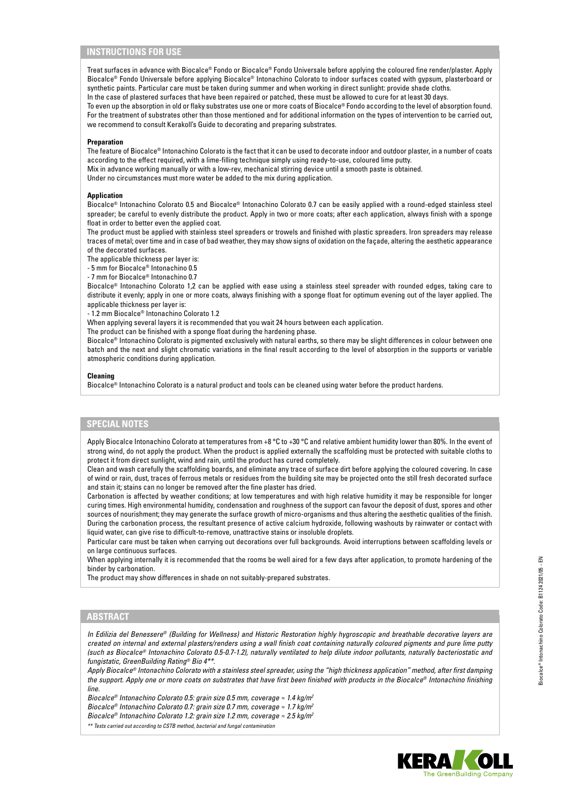# **INSTRUCTIONS FOR USE**

Treat surfaces in advance with Biocalce® Fondo or Biocalce® Fondo Universale before applying the coloured fine render/plaster. Apply Biocalce® Fondo Universale before applying Biocalce® Intonachino Colorato to indoor surfaces coated with gypsum, plasterboard or synthetic paints. Particular care must be taken during summer and when working in direct sunlight: provide shade cloths.

In the case of plastered surfaces that have been repaired or patched, these must be allowed to cure for at least 30 days.

To even up the absorption in old or flaky substrates use one or more coats of Biocalce® Fondo according to the level of absorption found. For the treatment of substrates other than those mentioned and for additional information on the types of intervention to be carried out, we recommend to consult Kerakoll's Guide to decorating and preparing substrates.

#### **Preparation**

The feature of Biocalce® Intonachino Colorato is the fact that it can be used to decorate indoor and outdoor plaster, in a number of coats according to the effect required, with a lime-filling technique simply using ready-to-use, coloured lime putty.

Mix in advance working manually or with a low-rev, mechanical stirring device until a smooth paste is obtained.

Under no circumstances must more water be added to the mix during application.

#### **Application**

Biocalce® Intonachino Colorato 0.5 and Biocalce® Intonachino Colorato 0.7 can be easily applied with a round-edged stainless steel spreader; be careful to evenly distribute the product. Apply in two or more coats; after each application, always finish with a sponge float in order to better even the applied coat.

The product must be applied with stainless steel spreaders or trowels and finished with plastic spreaders. Iron spreaders may release traces of metal; over time and in case of bad weather, they may show signs of oxidation on the façade, altering the aesthetic appearance of the decorated surfaces.

The applicable thickness per layer is:

- 5 mm for Biocalce® Intonachino 0.5

- 7 mm for Biocalce® Intonachino 0.7

Biocalce® Intonachino Colorato 1,2 can be applied with ease using a stainless steel spreader with rounded edges, taking care to distribute it evenly; apply in one or more coats, always finishing with a sponge float for optimum evening out of the layer applied. The applicable thickness per layer is:

- 1.2 mm Biocalce® Intonachino Colorato 1.2

When applying several layers it is recommended that you wait 24 hours between each application.

The product can be finished with a sponge float during the hardening phase.

Biocalce® Intonachino Colorato is pigmented exclusively with natural earths, so there may be slight differences in colour between one batch and the next and slight chromatic variations in the final result according to the level of absorption in the supports or variable atmospheric conditions during application.

#### **Cleaning**

Biocalce® Intonachino Colorato is a natural product and tools can be cleaned using water before the product hardens.

## **SPECIAL NOTES**

Apply Biocalce Intonachino Colorato at temperatures from +8 °C to +30 °C and relative ambient humidity lower than 80%. In the event of strong wind, do not apply the product. When the product is applied externally the scaffolding must be protected with suitable cloths to protect it from direct sunlight, wind and rain, until the product has cured completely.

Clean and wash carefully the scaffolding boards, and eliminate any trace of surface dirt before applying the coloured covering. In case of wind or rain, dust, traces of ferrous metals or residues from the building site may be projected onto the still fresh decorated surface and stain it; stains can no longer be removed after the fine plaster has dried.

Carbonation is affected by weather conditions; at low temperatures and with high relative humidity it may be responsible for longer curing times. High environmental humidity, condensation and roughness of the support can favour the deposit of dust, spores and other sources of nourishment; they may generate the surface growth of micro-organisms and thus altering the aesthetic qualities of the finish. During the carbonation process, the resultant presence of active calcium hydroxide, following washouts by rainwater or contact with liquid water, can give rise to difficult-to-remove, unattractive stains or insoluble droplets.

Particular care must be taken when carrying out decorations over full backgrounds. Avoid interruptions between scaffolding levels or on large continuous surfaces.

When applying internally it is recommended that the rooms be well aired for a few days after application, to promote hardening of the binder by carbonation.

The product may show differences in shade on not suitably-prepared substrates.

## **ABSTRACT**

*In Edilizia del Benessere® (Building for Wellness) and Historic Restoration highly hygroscopic and breathable decorative layers are created on internal and external plasters/renders using a wall finish coat containing naturally coloured pigments and pure lime putty (such as Biocalce® Intonachino Colorato 0.5-0.7-1.2), naturally ventilated to help dilute indoor pollutants, naturally bacteriostatic and fungistatic, GreenBuilding Rating® Bio 4\*\*.*

*Apply Biocalce® Intonachino Colorato with a stainless steel spreader, using the "high thickness application" method, after first damping the support. Apply one or more coats on substrates that have first been finished with products in the Biocalce® Intonachino finishing line.*

*Biocalce® Intonachino Colorato 0.5: grain size 0.5 mm, coverage ≈ 1.4 kg/m2 Biocalce® Intonachino Colorato 0.7: grain size 0.7 mm, coverage ≈ 1.7 kg/m2*

*Biocalce® Intonachino Colorato 1.2: grain size 1.2 mm, coverage ≈ 2.5 kg/m2*

*\*\* Tests carried out according to CSTB method, bacterial and fungal contamination*

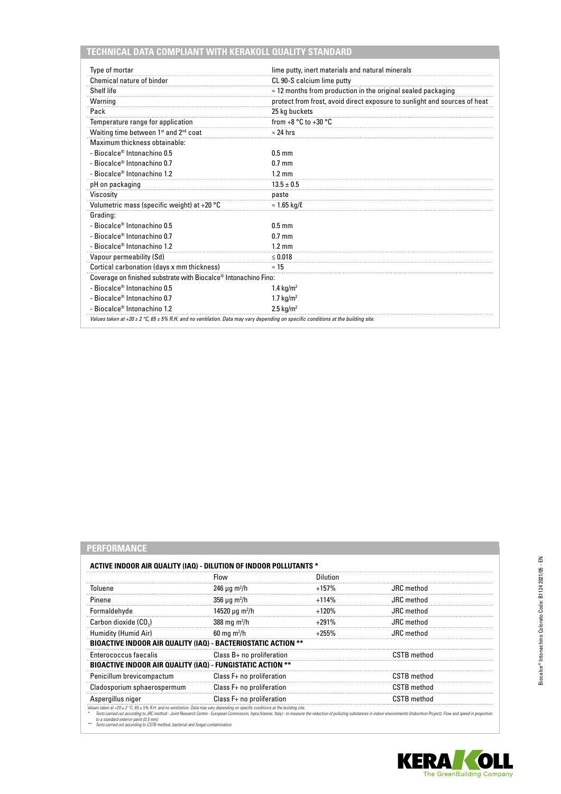# **TECHNICAL DATA COMPLIANT WITH KERAKOLL QUALITY STANDARD**

| Type of mortar                                                                                                                    | lime putty, inert materials and natural minerals                          |
|-----------------------------------------------------------------------------------------------------------------------------------|---------------------------------------------------------------------------|
| Chemical nature of binder                                                                                                         | CL 90-S calcium lime putty                                                |
| Shelf life                                                                                                                        | $\approx$ 12 months from production in the original sealed packaging      |
| Warning                                                                                                                           | protect from frost, avoid direct exposure to sunlight and sources of heat |
| Pack                                                                                                                              | 25 kg buckets                                                             |
| Temperature range for application                                                                                                 | from $+8 °C$ to $+30 °C$                                                  |
| Waiting time between 1st and 2nd coat                                                                                             | $\approx$ 24 hrs                                                          |
| Maximum thickness obtainable:                                                                                                     |                                                                           |
| - Biocalce <sup>®</sup> Intonachino 0.5                                                                                           | $0.5$ mm                                                                  |
| - Biocalce <sup>®</sup> Intonachino 0.7                                                                                           | $0.7$ mm                                                                  |
| - Biocalce <sup>®</sup> Intonachino 1.2                                                                                           | $1.2 \text{ mm}$                                                          |
| pH on packaging                                                                                                                   | $13.5 \pm 0.5$                                                            |
| Viscosity                                                                                                                         | paste                                                                     |
| Volumetric mass (specific weight) at +20 °C                                                                                       | $\approx$ 1.65 kg/ $\ell$                                                 |
| Grading:                                                                                                                          |                                                                           |
| - Biocalce® Intonachino 0.5                                                                                                       | $0.5$ mm                                                                  |
| - Biocalce <sup>®</sup> Intonachino 0.7                                                                                           | $0.7$ mm                                                                  |
| - Biocalce <sup>®</sup> Intonachino 1.2                                                                                           | $1.2 \text{ mm}$                                                          |
| Vapour permeability (Sd)                                                                                                          | $\leq 0.018$                                                              |
| Cortical carbonation (days x mm thickness)                                                                                        | $\approx$ 15                                                              |
| Coverage on finished substrate with Biocalce® Intonachino Fino:                                                                   |                                                                           |
| - Biocalce <sup>®</sup> Intonachino 0.5                                                                                           | 1.4 $kg/m2$                                                               |
| - Biocalce <sup>®</sup> Intonachino 0.7                                                                                           | 1.7 $kg/m2$                                                               |
| - Biocalce <sup>®</sup> Intonachino 1.2                                                                                           | $2.5 \text{ kg/m}^2$                                                      |
| Values taken at +20 ± 2 °C, 65 ± 5% R.H. and no ventilation. Data may vary depending on specific conditions at the building site. |                                                                           |

# **PERFORMANCE**

|                                                               | Flow                                 | Dilution |                    |
|---------------------------------------------------------------|--------------------------------------|----------|--------------------|
| Toluene                                                       | $246 \mu q \, \text{m}^2/\text{h}$   | $+157%$  | JRC method         |
| Pinene                                                        | 356 $\mu$ g m <sup>2</sup> /h        | $+114%$  | JRC method         |
| Formaldehyde                                                  | 14520 $\mu$ g m <sup>2</sup> /h      | $+120%$  | JRC method         |
| Carbon dioxide (CO.)                                          | 388 mg m <sup>2</sup> /h             | $+291%$  | <b>JRC</b> method  |
| Humidity (Humid Air)                                          | $60 \text{ mg} \text{ m}^2/\text{h}$ | $+255%$  | <b>JRC</b> method  |
| BIOACTIVE INDOOR AIR QUALITY (IAQ) - BACTERIOSTATIC ACTION ** |                                      |          |                    |
| Enterococcus faecalis                                         | Class $B+$ no proliferation          |          | <b>CSTB</b> method |
| BIOACTIVE INDOOR AIR QUALITY (IAQ) - FUNGISTATIC ACTION **    |                                      |          |                    |
| Penicillum brevicompactum                                     | Class F+ no proliferation            |          | <b>CSTB</b> method |
| Cladosporium sphaerospermum                                   | Class F+ no proliferation            |          | <b>CSTB</b> method |
| Aspergillus niger                                             | Class F+ no proliferation            |          | <b>CSTB</b> method |